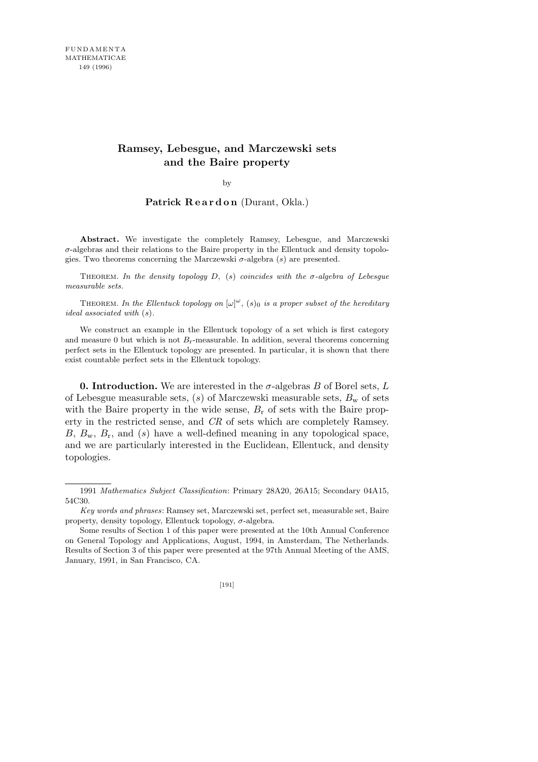## **Ramsey, Lebesgue, and Marczewski sets and the Baire property**

by

Patrick Reardon (Durant, Okla.)

**Abstract.** We investigate the completely Ramsey, Lebesgue, and Marczewski *σ*-algebras and their relations to the Baire property in the Ellentuck and density topologies. Two theorems concerning the Marczewski *σ*-algebra (*s*) are presented.

Theorem. *In the density topology D,* (*s*) *coincides with the σ-algebra of Lebesgue measurable sets.*

THEOREM. In the Ellentuck topology on  $[\omega]^{\omega}$ ,  $(s)_0$  is a proper subset of the hereditary *ideal associated with* (*s*)*.*

We construct an example in the Ellentuck topology of a set which is first category and measure  $0$  but which is not  $B_r$ -measurable. In addition, several theorems concerning perfect sets in the Ellentuck topology are presented. In particular, it is shown that there exist countable perfect sets in the Ellentuck topology.

**0. Introduction.** We are interested in the  $\sigma$ -algebras  $B$  of Borel sets,  $L$ of Lebesgue measurable sets, (*s*) of Marczewski measurable sets, *B*<sup>w</sup> of sets with the Baire property in the wide sense,  $B_r$  of sets with the Baire property in the restricted sense, and *CR* of sets which are completely Ramsey. *B*, *B*w, *B*r, and (*s*) have a well-defined meaning in any topological space, and we are particularly interested in the Euclidean, Ellentuck, and density topologies.

[191]

<sup>1991</sup> *Mathematics Subject Classification*: Primary 28A20, 26A15; Secondary 04A15, 54C30.

*Key words and phrases*: Ramsey set, Marczewski set, perfect set, measurable set, Baire property, density topology, Ellentuck topology, *σ*-algebra.

Some results of Section 1 of this paper were presented at the 10th Annual Conference on General Topology and Applications, August, 1994, in Amsterdam, The Netherlands. Results of Section 3 of this paper were presented at the 97th Annual Meeting of the AMS, January, 1991, in San Francisco, CA.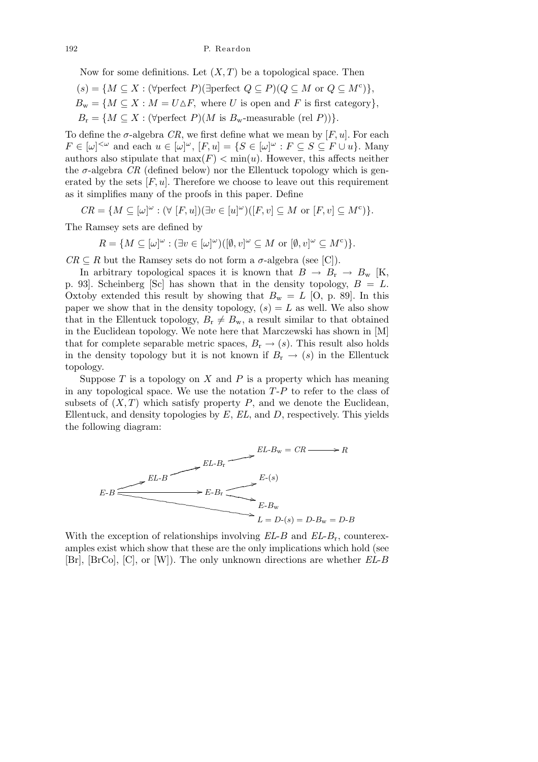Now for some definitions. Let  $(X, T)$  be a topological space. Then

 $(s) = \{ M \subseteq X : (\forall \text{perfect } P)(\exists \text{perfect } Q \subseteq P)(Q \subseteq M \text{ or } Q \subseteq M^c) \},\$  $B_{\rm w} = \{ M \subseteq X : M = U \Delta F, \text{ where } U \text{ is open and } F \text{ is first category} \},$ 

 $B_r = \{ M \subseteq X : (\forall \text{perfect } P)(M \text{ is } B_w\text{-measurable (rel } P)) \}.$ 

To define the  $\sigma$ -algebra *CR*, we first define what we mean by  $[F, u]$ . For each  $F \in [\omega]^{<\omega}$  and each  $u \in [\omega]^\omega$ ,  $[F, u] = \{S \in [\omega]^\omega : F \subseteq S \subseteq F \cup u\}$ . Many authors also stipulate that  $\max(F) < \min(u)$ . However, this affects neither the  $\sigma$ -algebra *CR* (defined below) nor the Ellentuck topology which is generated by the sets  $[F, u]$ . Therefore we choose to leave out this requirement as it simplifies many of the proofs in this paper. Define

 $CR = \{ M \subseteq [\omega]^\omega : (\forall [F, u])(\exists v \in [u]^\omega)([F, v] \subseteq M \text{ or } [F, v] \subseteq M^c) \}.$ 

The Ramsey sets are defined by

$$
R = \{ M \subseteq [\omega]^\omega : (\exists v \in [\omega]^\omega)([\emptyset, v]^\omega \subseteq M \text{ or } [\emptyset, v]^\omega \subseteq M^c) \}.
$$

 $CR \subseteq R$  but the Ramsey sets do not form a  $\sigma$ -algebra (see [C]).

In arbitrary topological spaces it is known that  $B \to B_r \to B_w$  [K, p. 93. Scheinberg [Sc] has shown that in the density topology,  $B = L$ . Oxtoby extended this result by showing that  $B_w = L$  [O, p. 89]. In this paper we show that in the density topology,  $(s) = L$  as well. We also show that in the Ellentuck topology,  $B_r \neq B_w$ , a result similar to that obtained in the Euclidean topology. We note here that Marczewski has shown in [M] that for complete separable metric spaces,  $B_r \to (s)$ . This result also holds in the density topology but it is not known if  $B_r \to (s)$  in the Ellentuck topology.

Suppose *T* is a topology on *X* and *P* is a property which has meaning in any topological space. We use the notation *T*-*P* to refer to the class of subsets of  $(X, T)$  which satisfy property P, and we denote the Euclidean, Ellentuck, and density topologies by *E*, *EL*, and *D*, respectively. This yields the following diagram:



With the exception of relationships involving *EL*-*B* and *EL*-*B*r, counterexamples exist which show that these are the only implications which hold (see [Br], [BrCo], [C], or [W]). The only unknown directions are whether *EL*-*B*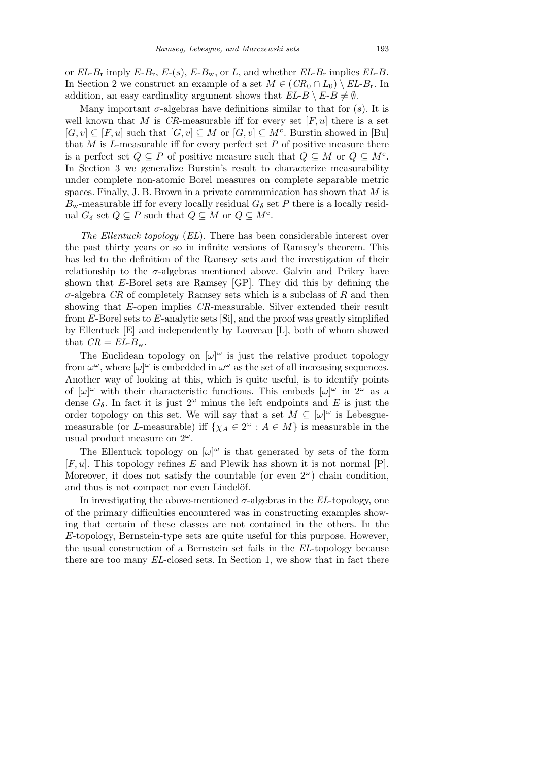or  $EL-B_r$  imply  $E-B_r$ ,  $E-(s)$ ,  $E-B_w$ , or  $L$ , and whether  $EL-B_r$  implies  $EL-B$ . In Section 2 we construct an example of a set  $M \in (CR_0 \cap L_0) \setminus EL\!$ . In addition, an easy cardinality argument shows that  $EL-B \setminus E-B \neq \emptyset$ .

Many important  $\sigma$ -algebras have definitions similar to that for  $(s)$ . It is well known that *M* is *CR*-measurable iff for every set  $[F, u]$  there is a set  $[G, v] \subseteq [F, u]$  such that  $[G, v] \subseteq M$  or  $[G, v] \subseteq M^c$ . Burstin showed in [Bu] that  $M$  is  $L$ -measurable iff for every perfect set  $P$  of positive measure there is a perfect set  $Q \subseteq P$  of positive measure such that  $Q \subseteq M$  or  $Q \subseteq M^c$ . In Section 3 we generalize Burstin's result to characterize measurability under complete non-atomic Borel measures on complete separable metric spaces. Finally, J. B. Brown in a private communication has shown that *M* is  $B_{\rm w}$ -measurable iff for every locally residual  $G_{\delta}$  set *P* there is a locally residual  $G_{\delta}$  set  $Q \subseteq P$  such that  $Q \subseteq M$  or  $Q \subseteq M^c$ .

*The Ellentuck topology* (*EL*). There has been considerable interest over the past thirty years or so in infinite versions of Ramsey's theorem. This has led to the definition of the Ramsey sets and the investigation of their relationship to the  $\sigma$ -algebras mentioned above. Galvin and Prikry have shown that *E*-Borel sets are Ramsey [GP]. They did this by defining the *σ*-algebra *CR* of completely Ramsey sets which is a subclass of *R* and then showing that *E*-open implies *CR*-measurable. Silver extended their result from *E*-Borel sets to *E*-analytic sets [Si], and the proof was greatly simplified by Ellentuck [E] and independently by Louveau [L], both of whom showed that  $CR = EL-B_w$ .

The Euclidean topology on  $[\omega]^\omega$  is just the relative product topology from  $\omega^{\omega}$ , where  $[\omega]^{\omega}$  is embedded in  $\omega^{\omega}$  as the set of all increasing sequences. Another way of looking at this, which is quite useful, is to identify points of  $[\omega]^\omega$  with their characteristic functions. This embeds  $[\omega]^\omega$  in  $2^\omega$  as a dense  $G_{\delta}$ . In fact it is just  $2^{\omega}$  minus the left endpoints and *E* is just the order topology on this set. We will say that a set  $M \subseteq [\omega]^{\omega}$  is Lebesguemeasurable (or *L*-measurable) if  $\{\chi_A \in 2^\omega : A \in M\}$  is measurable in the usual product measure on 2*<sup>ω</sup>*.

The Ellentuck topology on  $[\omega]^\omega$  is that generated by sets of the form [*F, u*]. This topology refines *E* and Plewik has shown it is not normal [P]. Moreover, it does not satisfy the countable (or even  $2^{\omega}$ ) chain condition, and thus is not compact nor even Lindelöf.

In investigating the above-mentioned  $\sigma$ -algebras in the *EL*-topology, one of the primary difficulties encountered was in constructing examples showing that certain of these classes are not contained in the others. In the *E*-topology, Bernstein-type sets are quite useful for this purpose. However, the usual construction of a Bernstein set fails in the *EL*-topology because there are too many *EL*-closed sets. In Section 1, we show that in fact there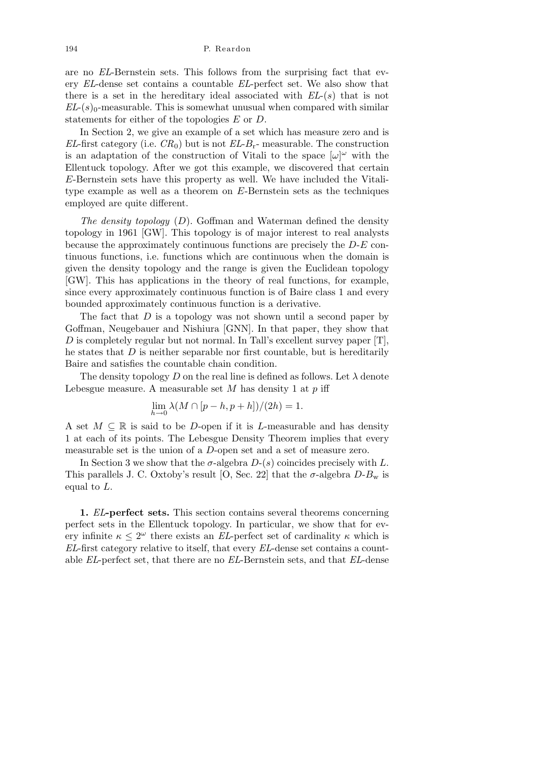194 P. Reardon

are no *EL*-Bernstein sets. This follows from the surprising fact that every *EL*-dense set contains a countable *EL*-perfect set. We also show that there is a set in the hereditary ideal associated with *EL*-(*s*) that is not  $EL-(s)$ <sub>0</sub>-measurable. This is somewhat unusual when compared with similar statements for either of the topologies *E* or *D*.

In Section 2, we give an example of a set which has measure zero and is *EL*-first category (i.e.  $CR_0$ ) but is not  $EL-B_r$ - measurable. The construction is an adaptation of the construction of Vitali to the space  $[\omega]^\omega$  with the Ellentuck topology. After we got this example, we discovered that certain *E*-Bernstein sets have this property as well. We have included the Vitalitype example as well as a theorem on *E*-Bernstein sets as the techniques employed are quite different.

*The density topology* (*D*). Goffman and Waterman defined the density topology in 1961 [GW]. This topology is of major interest to real analysts because the approximately continuous functions are precisely the *D*-*E* continuous functions, i.e. functions which are continuous when the domain is given the density topology and the range is given the Euclidean topology [GW]. This has applications in the theory of real functions, for example, since every approximately continuous function is of Baire class 1 and every bounded approximately continuous function is a derivative.

The fact that *D* is a topology was not shown until a second paper by Goffman, Neugebauer and Nishiura [GNN]. In that paper, they show that *D* is completely regular but not normal. In Tall's excellent survey paper  $[T]$ , he states that *D* is neither separable nor first countable, but is hereditarily Baire and satisfies the countable chain condition.

The density topology D on the real line is defined as follows. Let  $\lambda$  denote Lebesgue measure. A measurable set *M* has density 1 at *p* iff

$$
\lim_{h \to 0} \lambda(M \cap [p-h, p+h])/(2h) = 1.
$$

A set *M ⊆* R is said to be *D*-open if it is *L*-measurable and has density 1 at each of its points. The Lebesgue Density Theorem implies that every measurable set is the union of a *D*-open set and a set of measure zero.

In Section 3 we show that the  $\sigma$ -algebra  $D-(s)$  coincides precisely with  $L$ . This parallels J. C. Oxtoby's result [O, Sec. 22] that the  $\sigma$ -algebra  $D-B_w$  is equal to *L.*

**1.** *EL***-perfect sets.** This section contains several theorems concerning perfect sets in the Ellentuck topology. In particular, we show that for every infinite  $\kappa \leq 2^{\omega}$  there exists an *EL*-perfect set of cardinality  $\kappa$  which is *EL*-first category relative to itself, that every *EL*-dense set contains a countable *EL*-perfect set, that there are no *EL*-Bernstein sets, and that *EL*-dense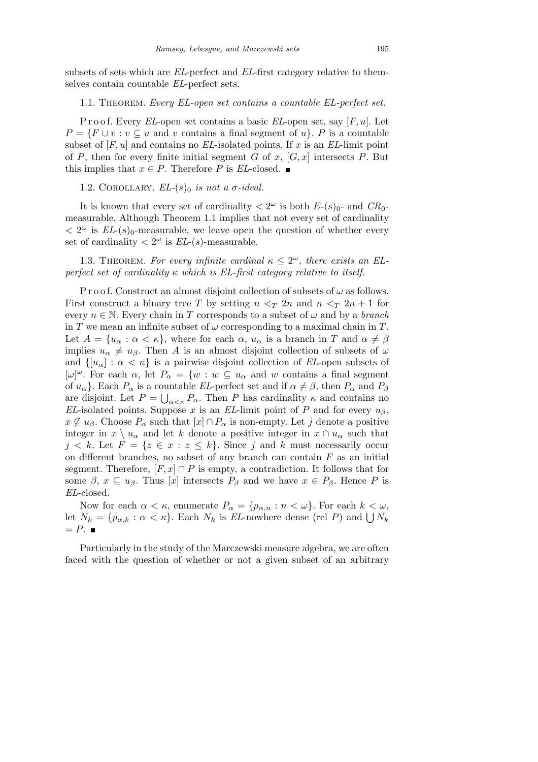subsets of sets which are *EL*-perfect and *EL*-first category relative to themselves contain countable *EL*-perfect sets.

## 1.1. Theorem. *Every EL-open set contains a countable EL-perfect set.*

P r o o f. Every *EL*-open set contains a basic *EL*-open set, say [*F, u*]. Let  $P = \{F \cup v : v \subseteq u \text{ and } v \text{ contains a final segment of } u\}.$  *P* is a countable subset of  $[F, u]$  and contains no  $EL$ -isolated points. If  $x$  is an  $EL$ -limit point of *P*, then for every finite initial segment *G* of *x*,  $[G, x]$  intersects *P*. But this implies that  $x \in P$ . Therefore *P* is *EL*-closed. ■

1.2. COROLLARY.  $EL-(s)$ <sub>0</sub> is not a  $\sigma$ -ideal.

It is known that every set of cardinality  $\langle 2^{\omega} \rangle$  is both  $E_{\tau}(s)_{0}$ - and  $CR_{0}$ measurable. Although Theorem 1.1 implies that not every set of cardinality  $\langle 2^{\omega} \rangle$  is *EL*-(*s*)<sub>0</sub>-measurable, we leave open the question of whether every set of cardinality  $\langle 2^{\omega} \rangle$  is  $EL(s)$ -measurable.

1.3. THEOREM. For every infinite cardinal  $\kappa \leq 2^{\omega}$ , there exists an EL*perfect set of cardinality κ which is EL-first category relative to itself.*

P r o o f. Construct an almost disjoint collection of subsets of  $\omega$  as follows. First construct a binary tree *T* by setting  $n < T$  2*n* and  $n < T$  2*n* + 1 for every  $n \in \mathbb{N}$ . Every chain in *T* corresponds to a subset of  $\omega$  and by a *branch* in *T* we mean an infinite subset of  $\omega$  corresponding to a maximal chain in *T*. Let  $A = \{u_\alpha : \alpha < \kappa\}$ , where for each  $\alpha$ ,  $u_\alpha$  is a branch in *T* and  $\alpha \neq \beta$ implies  $u_{\alpha} \neq u_{\beta}$ . Then *A* is an almost disjoint collection of subsets of  $\omega$ and  $\{[u_{\alpha}] : \alpha < \kappa\}$  is a pairwise disjoint collection of *EL*-open subsets of  $[\omega]^\omega$ . For each  $\alpha$ , let  $P_\alpha = \{w : w \subseteq u_\alpha \text{ and } w \text{ contains a final segment}\}\$ of  $u_{\alpha}$ }. Each  $P_{\alpha}$  is a countable *EL*-perfect set and if  $\alpha \neq \beta$ , then  $P_{\alpha}$  and  $P_{\beta}$ are disjoint. Let  $P = \bigcup_{\alpha < \kappa} P_{\alpha}$ . Then *P* has cardinality  $\kappa$  and contains no *EL*-isolated points. Suppose *x* is an *EL*-limit point of *P* and for every  $u_{\beta}$ ,  $x \not\subseteq u_{\beta}$ . Choose  $P_{\alpha}$  such that  $[x] \cap P_{\alpha}$  is non-empty. Let *j* denote a positive integer in  $x \setminus u_\alpha$  and let *k* denote a positive integer in  $x \cap u_\alpha$  such that  $j < k$ . Let  $F = \{z \in x : z \leq k\}$ . Since *j* and *k* must necessarily occur on different branches, no subset of any branch can contain *F* as an initial segment. Therefore,  $[F, x] \cap P$  is empty, a contradiction. It follows that for some  $\beta$ ,  $x \subseteq u_{\beta}$ . Thus  $[x]$  intersects  $P_{\beta}$  and we have  $x \in P_{\beta}$ . Hence P is *EL*-closed.

Now for each  $\alpha < \kappa$ , enumerate  $P_{\alpha} = \{p_{\alpha,n} : n < \omega\}$ . For each  $k < \omega$ , let  $N_k = \{p_{\alpha,k} : \alpha < \kappa\}$ . Each  $N_k$  is *EL*-nowhere dense (rel *P*) and  $\bigcup N_k$  $= P.$ 

Particularly in the study of the Marczewski measure algebra, we are often faced with the question of whether or not a given subset of an arbitrary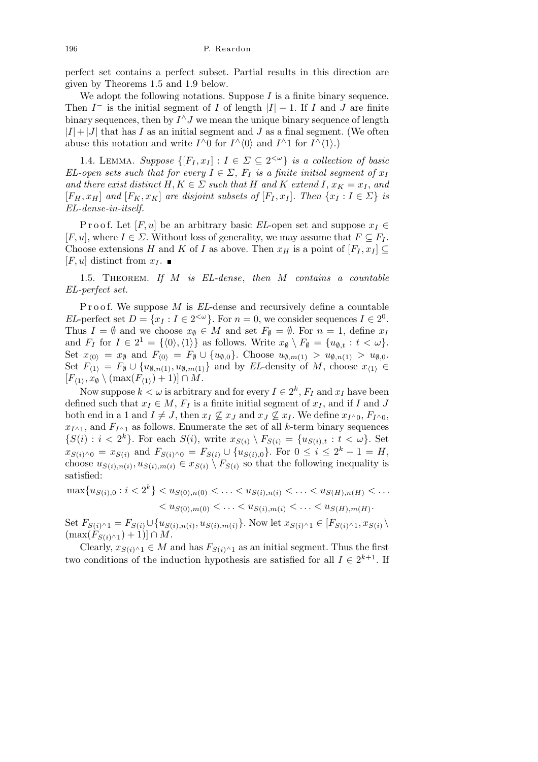perfect set contains a perfect subset. Partial results in this direction are given by Theorems 1.5 and 1.9 below.

We adopt the following notations. Suppose *I* is a finite binary sequence. Then  $I^-$  is the initial segment of *I* of length  $|I| - 1$ . If *I* and *J* are finite binary sequences, then by  $I^{\wedge}J$  we mean the unique binary sequence of length  $|I|+|J|$  that has *I* as an initial segment and *J* as a final segment. (We often abuse this notation and write  $I^{\wedge}0$  for  $I^{\wedge}\langle 0 \rangle$  and  $I^{\wedge}1$  for  $I^{\wedge}\langle 1 \rangle$ .)

1.4. LEMMA. *Suppose*  $\{[F_I, x_I] : I \in \Sigma \subseteq 2^{<\omega}\}\$ is a collection of basic *EL-open sets such that for every*  $I \in \Sigma$ ,  $F_I$  *is a finite initial segment of*  $x_I$ *and there exist distinct*  $H, K \in \Sigma$  *such that*  $H$  *and*  $K$  *extend*  $I, x_K = x_I$ *, and*  $[F_H, x_H]$  and  $[F_K, x_K]$  are disjoint subsets of  $[F_I, x_I]$ . Then  $\{x_I : I \in \Sigma\}$  is *EL-dense-in-itself.*

Proof. Let  $[F, u]$  be an arbitrary basic *EL*-open set and suppose  $x_I \in$  $[F, u]$ , where  $I \in \Sigma$ . Without loss of generality, we may assume that  $F \subseteq F_I$ . Choose extensions *H* and *K* of *I* as above. Then  $x_H$  is a point of  $[F_I, x_I] \subseteq$  $[F, u]$  distinct from  $x_I$ .

1.5. Theorem. *If M is EL-dense*, *then M contains a countable EL-perfect set.*

P r o o f. We suppose M is *EL*-dense and recursively define a countable *EL*-perfect set  $D = \{x_I : I \in 2^{<\omega}\}\.$  For  $n = 0$ , we consider sequences  $I \in 2^0$ . Thus  $I = \emptyset$  and we choose  $x_{\emptyset} \in M$  and set  $F_{\emptyset} = \emptyset$ . For  $n = 1$ , define  $x_I$ and  $F_I$  for  $I \in 2^1 = \{ \langle 0 \rangle, \langle 1 \rangle \}$  as follows. Write  $x_\emptyset \setminus F_\emptyset = \{ u_{\emptyset, t} : t < \omega \}.$ Set  $x_{(0)} = x_{\emptyset}$  and  $F_{(0)} = F_{\emptyset} \cup \{u_{\emptyset,0}\}.$  Choose  $u_{\emptyset,m(1)} > u_{\emptyset,n(1)} > u_{\emptyset,0}.$ Set  $F_{\langle 1 \rangle} = F_{\emptyset} \cup \{u_{\emptyset,n(1)}, u_{\emptyset,m(1)}\}$  and by *EL*-density of *M*, choose  $x_{\langle 1 \rangle} \in$  $[F_{\langle 1 \rangle}, x_{\emptyset} \setminus (\max(F_{\langle 1 \rangle}) + 1)] \cap M$ .

Now suppose  $k < \omega$  is arbitrary and for every  $I \in 2^k$ ,  $F_I$  and  $x_I$  have been defined such that  $x_I \in M$ ,  $F_I$  is a finite initial segment of  $x_I$ , and if *I* and *J* both end in a 1 and  $I \neq J$ , then  $x_I \not\subseteq x_J$  and  $x_J \not\subseteq x_I$ . We define  $x_{I \wedge 0}$ ,  $F_{I \wedge 0}$ ,  $x_{I^{\wedge}1}$ , and  $F_{I^{\wedge}1}$  as follows. Enumerate the set of all *k*-term binary sequences  $\{S(i): i < 2^k\}$ . For each  $S(i)$ , write  $x_{S(i)} \setminus F_{S(i)} = \{u_{S(i),t}: t < \omega\}$ . Set  $x_{S(i)\wedge 0} = x_{S(i)}$  and  $F_{S(i)\wedge 0} = F_{S(i)} \cup \{u_{S(i),0}\}\$ . For  $0 \leq i \leq 2^k - 1 = H$ , choose  $u_{S(i),n(i)}, u_{S(i),m(i)} \in x_{S(i)} \setminus F_{S(i)}$  so that the following inequality is satisfied:

 $\max\{u_{S(i),0}: i < 2^k\} < u_{S(0),n(0)} < \ldots < u_{S(i),n(i)} < \ldots < u_{S(H),n(H)} < \ldots$ 

 $\langle u_{S(0),m(0)} \rangle \leq \ldots \langle u_{S(i),m(i)} \rangle \leq \ldots \langle u_{S(H),m(H)} \rangle$ 

Set  $F_{S(i)^{\wedge}1} = F_{S(i)} \cup \{u_{S(i),n(i)}, u_{S(i),m(i)}\}$ . Now let  $x_{S(i)^{\wedge}1} \in [F_{S(i)^{\wedge}1}, x_{S(i)})$  $(\max(F_{S(i)} \wedge 1) + 1)| ∩ M$ .

Clearly,  $x_{S(i)} \wedge_1 \in M$  and has  $F_{S(i)} \wedge_1$  as an initial segment. Thus the first two conditions of the induction hypothesis are satisfied for all  $I \in 2^{k+1}$ . If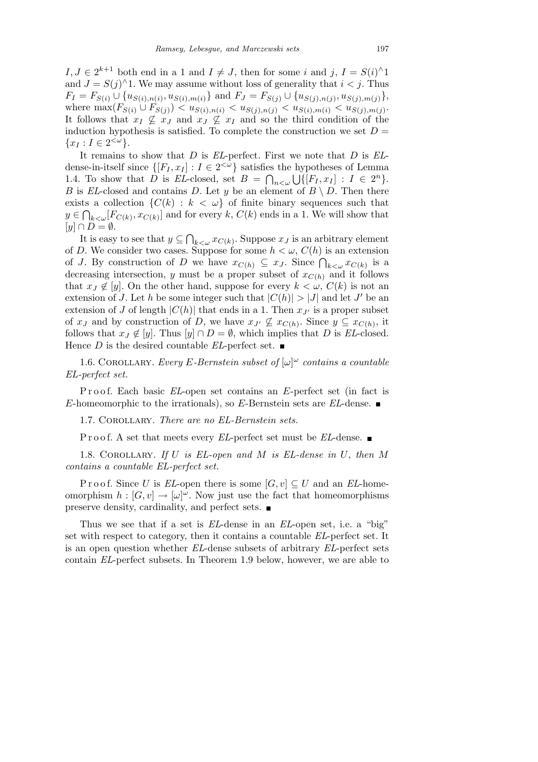$I, J \in 2^{k+1}$  both end in a 1 and  $I \neq J$ , then for some *i* and  $j, I = S(i)$ <sup> $\wedge$ </sup>1 and  $J = S(j)^{\wedge}1$ . We may assume without loss of generality that  $i < j$ . Thus  $F_I = F_{S(i)} \cup \{u_{S(i),n(i)}, u_{S(i),m(i)}\}$  and  $F_J = F_{S(j)} \cup \{u_{S(j),n(j)}, u_{S(j),m(j)}\},$ where  $\max(F_{S(i)} \cup F_{S(j)}) < u_{S(i),n(i)} < u_{S(j),n(j)} < u_{S(i),m(i)} < u_{S(j),m(j)}$ . It follows that  $x_I \nsubseteq x_J$  and  $x_J \nsubseteq x_I$  and so the third condition of the induction hypothesis is satisfied. To complete the construction we set  $D =$  $\{x_I : I \in 2^{<\omega}\}.$ 

It remains to show that *D* is *EL*-perfect. First we note that *D* is *EL*dense-in-itself since  $\{[F_I, x_I] : I \in 2^{<\omega}\}$  satisfies the hypotheses of Lemma 1.4. To show that *D* is *EL*-closed, set  $B = \bigcap_{n < \omega} \bigcup \{ [F_I, x_I] : I \in 2^n \}.$ *B* is *EL*-closed and contains *D*. Let *y* be an element of  $B \setminus D$ . Then there exists a collection  $\{C(k) : k < \omega\}$  of finite binary sequences such that  $y \in \bigcap_{k < \omega} [F_{C(k)}, x_{C(k)}]$  and for every  $k, C(k)$  ends in a 1. We will show that  $[y] \cap D = \emptyset.$  $\overline{a}$ 

It is easy to see that *y ⊆*  $\int_{k < \omega} x_{C(k)}$ . Suppose  $x_j$  is an arbitrary element of *D*. We consider two cases. Suppose for some  $h < \omega$ ,  $C(h)$  is an extension of *J*. By construction of *D* we have  $x_{C(h)} \subseteq x_J$ . Since  $\bigcap_{k \leq \omega} x_{C(k)}$  is a decreasing intersection, *y* must be a proper subset of  $x_{C(h)}$  and it follows that  $x_J \notin [y]$ . On the other hand, suppose for every  $k < \omega$ ,  $C(k)$  is not an extension of *J*. Let *h* be some integer such that  $|C(h)| > |J|$  and let *J'* be an extension of *J* of length  $|C(h)|$  that ends in a 1. Then  $x_{J'}$  is a proper subset of  $x_J$  and by construction of *D*, we have  $x_{J'} \nsubseteq x_{C(h)}$ . Since  $y \subseteq x_{C(h)}$ , it follows that  $x_J \notin [y]$ . Thus  $[y] \cap D = \emptyset$ , which implies that *D* is *EL*-closed. Hence *D* is the desired countable *EL*-perfect set.

1.6. COROLLARY. *Every E*-Bernstein subset of  $[\omega]^\omega$  contains a countable *EL-perfect set.*

P r o o f. Each basic *EL*-open set contains an *E*-perfect set (in fact is *E*-homeomorphic to the irrationals), so *E*-Bernstein sets are *EL*-dense.

1.7. Corollary. *There are no EL-Bernstein sets.*

Proof. A set that meets every *EL*-perfect set must be *EL*-dense. ■

1.8. Corollary. *If U is EL-open and M is EL-dense in U*, *then M contains a countable EL-perfect set.*

P r o o f. Since *U* is *EL*-open there is some  $[G, v] \subseteq U$  and an *EL*-homeomorphism  $h : [G, v] \to [\omega]^\omega$ . Now just use the fact that homeomorphisms preserve density, cardinality, and perfect sets.

Thus we see that if a set is *EL*-dense in an *EL*-open set, i.e. a "big" set with respect to category, then it contains a countable *EL*-perfect set. It is an open question whether *EL*-dense subsets of arbitrary *EL*-perfect sets contain *EL*-perfect subsets. In Theorem 1.9 below, however, we are able to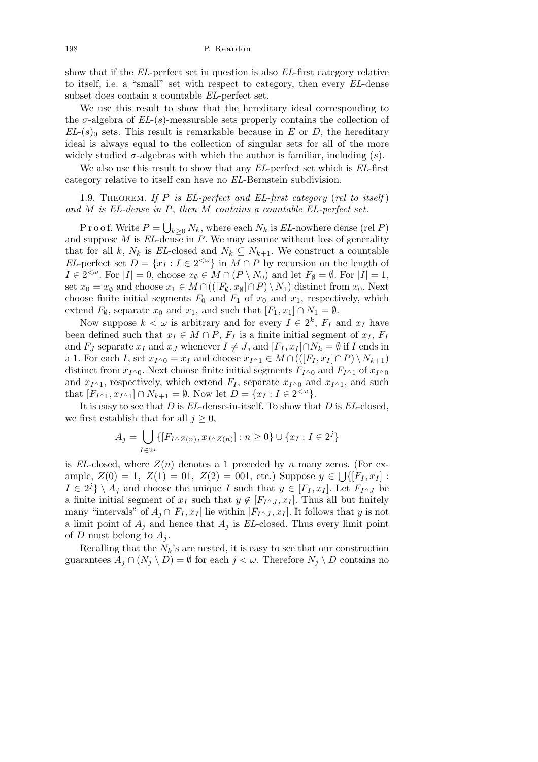show that if the *EL*-perfect set in question is also *EL*-first category relative to itself, i.e. a "small" set with respect to category, then every *EL*-dense subset does contain a countable *EL*-perfect set.

We use this result to show that the hereditary ideal corresponding to the  $\sigma$ -algebra of  $EL(s)$ -measurable sets properly contains the collection of  $EL-(s)$ <sub>0</sub> sets. This result is remarkable because in *E* or *D*, the hereditary ideal is always equal to the collection of singular sets for all of the more widely studied  $\sigma$ -algebras with which the author is familiar, including  $(s)$ .

We also use this result to show that any *EL*-perfect set which is *EL*-first category relative to itself can have no *EL*-Bernstein subdivision.

## 1.9. Theorem. *If P is EL-perfect and EL-first category* (*rel to itself* ) *and M is EL-dense in P*, *then M contains a countable EL-perfect set.*

P r o o f. Write *P* = S  $k \geq 0$  *N*<sub>*k*</sub>, where each *N*<sub>*k*</sub> is *EL*-nowhere dense (rel *P*) and suppose *M* is *EL*-dense in *P*. We may assume without loss of generality that for all *k*,  $N_k$  is *EL*-closed and  $N_k \subseteq N_{k+1}$ . We construct a countable *EL*-perfect set  $D = \{x_I : I \in 2^{<\omega}\}\$ in  $M \cap P$  by recursion on the length of  $I \in 2^{<\omega}$ . For  $|I| = 0$ , choose  $x_{\emptyset} \in M \cap (P \setminus N_0)$  and let  $F_{\emptyset} = \emptyset$ . For  $|I| = 1$ , set  $x_0 = x_\emptyset$  and choose  $x_1 \in M \cap (([F_\emptyset, x_\emptyset] \cap P) \setminus N_1)$  distinct from  $x_0$ . Next choose finite initial segments  $F_0$  and  $F_1$  of  $x_0$  and  $x_1$ , respectively, which extend  $F_{\emptyset}$ , separate  $x_0$  and  $x_1$ , and such that  $[F_1, x_1] \cap N_1 = \emptyset$ .

Now suppose  $k < \omega$  is arbitrary and for every  $I \in 2^k$ ,  $F_I$  and  $x_I$  have been defined such that  $x_I \in M \cap P$ ,  $F_I$  is a finite initial segment of  $x_I$ ,  $F_I$ and *F<sub>J</sub>* separate  $x_I$  and  $x_J$  whenever  $I \neq J$ , and  $[F_I, x_I] \cap N_k = \emptyset$  if *I* ends in a 1. For each *I*, set  $x_{I \wedge 0} = x_I$  and choose  $x_{I \wedge 1} \in M \cap (([F_I, x_I] \cap P) \setminus N_{k+1})$ distinct from  $x_{I}$ ∧<sub>0</sub>. Next choose finite initial segments  $F_{I}$ ∧<sub>0</sub> and  $F_{I}$ ∧<sub>1</sub> of  $x_{I}$ ∧<sub>0</sub> and  $x_{I^{\wedge}1}$ , respectively, which extend  $F_I$ , separate  $x_{I^{\wedge}0}$  and  $x_{I^{\wedge}1}$ , and such that  $[F_{I^{\wedge}1}, x_{I^{\wedge}1}] \cap N_{k+1} = \emptyset$ . Now let  $D = \{x_I : I \in 2^{<\omega}\}.$ 

It is easy to see that *D* is *EL*-dense-in-itself. To show that *D* is *EL*-closed, we first establish that for all  $j \geq 0$ ,

$$
A_j = \bigcup_{I \in 2^j} \{ [F_{I \wedge Z(n)}, x_{I \wedge Z(n)}] : n \ge 0 \} \cup \{ x_I : I \in 2^j \}
$$

is *EL*-closed, where  $Z(n)$  denotes a 1 preceded by *n* many zeros. (For ex- $\text{ample, } Z(0) = 1, Z(1) = 01, Z(2) = 001, \text{ etc.}$  Suppose  $y \in \bigcup \{[F_I, x_I] :$  $I \in 2^{j}$   $\setminus$  *A*<sup>*j*</sup> and choose the unique *I* such that  $y \in [F_I, x_I]$ . Let  $F_{I^{\wedge} J}$  be a finite initial segment of  $x_I$  such that  $y \notin [F_{I^{\wedge} J}, x_I]$ . Thus all but finitely many "intervals" of  $A_j \cap [F_I, x_I]$  lie within  $[F_I \land J, x_I]$ . It follows that *y* is not a limit point of  $A_j$  and hence that  $A_j$  is *EL*-closed. Thus every limit point of *D* must belong to  $A_j$ .

Recalling that the  $N_k$ 's are nested, it is easy to see that our construction guarantees  $A_j \cap (N_j \setminus D) = \emptyset$  for each  $j < \omega$ . Therefore  $N_j \setminus D$  contains no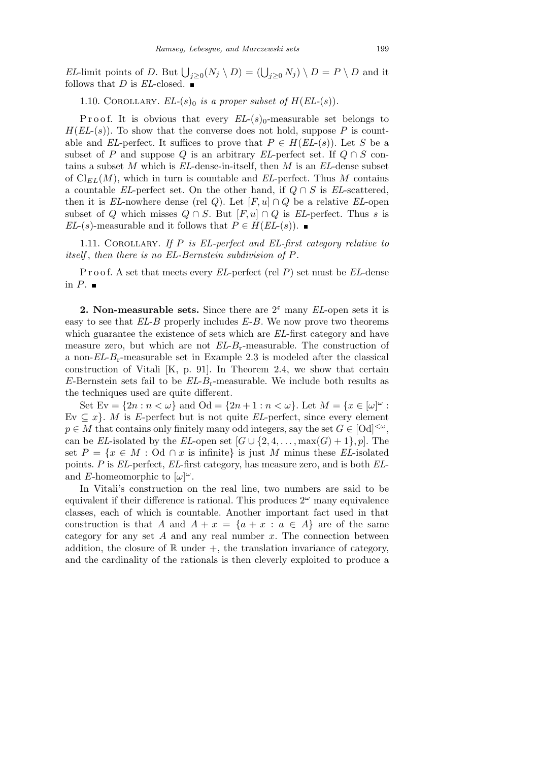*EL*-limit points of *D*. But  $\bigcup_{j\geq 0} (N_j \setminus D) = (\bigcup_{j\geq 0} N_j) \setminus D = P \setminus D$  and it follows that *D* is *EL*-closed.  $\blacksquare$ 

1.10. COROLLARY. *EL*- $(s)$ <sup>0</sup> *is a proper subset of*  $H(EL-(s))$ .

P r o o f. It is obvious that every  $EL(s)$ <sub>0</sub>-measurable set belongs to  $H(EL-(s))$ . To show that the converse does not hold, suppose P is countable and *EL*-perfect. It suffices to prove that  $P \in H(EL-(s))$ . Let *S* be a subset of *P* and suppose *Q* is an arbitrary *EL*-perfect set. If  $Q \cap S$  contains a subset *M* which is *EL*-dense-in-itself, then *M* is an *EL*-dense subset of  $\mathrm{Cl}_{EL}(M)$ , which in turn is countable and *EL*-perfect. Thus M contains a countable *EL*-perfect set. On the other hand, if  $Q \cap S$  is *EL*-scattered, then it is *EL*-nowhere dense (rel *Q*). Let  $[F, u] \cap Q$  be a relative *EL*-open subset of *Q* which misses  $Q \cap S$ . But  $[F, u] \cap Q$  is *EL*-perfect. Thus *s* is *EL*-(*s*)-measurable and it follows that  $P \in H(EL(s))$ . ■

1.11. Corollary. *If P is EL-perfect and EL-first category relative to itself* , *then there is no EL-Bernstein subdivision of P.*

P r o o f. A set that meets every *EL*-perfect (rel *P*) set must be *EL*-dense in  $P$ .

**2. Non-measurable sets.** Since there are  $2^c$  many *EL*-open sets it is easy to see that *EL*-*B* properly includes *E*-*B*. We now prove two theorems which guarantee the existence of sets which are *EL*-first category and have measure zero, but which are not *EL*-*B*r-measurable. The construction of a non-*EL*-*B*r-measurable set in Example 2.3 is modeled after the classical construction of Vitali [K, p. 91]. In Theorem 2.4, we show that certain *E*-Bernstein sets fail to be *EL*-*B*r-measurable. We include both results as the techniques used are quite different.

Set  $E_v = \{2n : n < \omega\}$  and  $Od = \{2n + 1 : n < \omega\}$ . Let  $M = \{x \in [\omega]^\omega :$ Ev  $\subseteq$  *x* $\}$ . *M* is *E*-perfect but is not quite *EL*-perfect, since every element  $p \in M$  that contains only finitely many odd integers, say the set  $G \in [Od]^{<\omega}$ , can be *EL*-isolated by the *EL*-open set  $[G \cup \{2, 4, \ldots, \max(G) + 1\}, p]$ . The set  $P = \{x \in M : \text{Od } \cap x \text{ is infinite}\}\$ is just *M* minus these *EL*-isolated points. *P* is *EL*-perfect, *EL*-first category, has measure zero, and is both *EL*and *E*-homeomorphic to  $[\omega]^\omega$ .

In Vitali's construction on the real line, two numbers are said to be equivalent if their difference is rational. This produces  $2^{\omega}$  many equivalence classes, each of which is countable. Another important fact used in that construction is that *A* and  $A + x = \{a + x : a \in A\}$  are of the same category for any set *A* and any real number *x*. The connection between addition, the closure of  $\mathbb R$  under  $+$ , the translation invariance of category, and the cardinality of the rationals is then cleverly exploited to produce a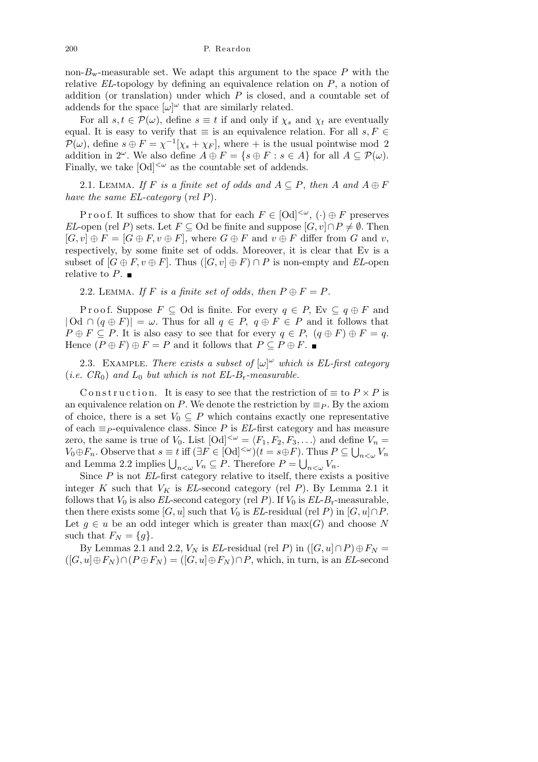non- $B_{\rm w}$ -measurable set. We adapt this argument to the space  $P$  with the relative *EL*-topology by defining an equivalence relation on *P*, a notion of addition (or translation) under which *P* is closed, and a countable set of addends for the space  $[\omega]^\omega$  that are similarly related.

For all  $s, t \in \mathcal{P}(\omega)$ , define  $s \equiv t$  if and only if  $\chi_s$  and  $\chi_t$  are eventually equal. It is easy to verify that  $\equiv$  is an equivalence relation. For all  $s, F \in$  $P(\omega)$ , define  $s \oplus F = \chi^{-1}[\chi_s + \chi_F]$ , where + is the usual pointwise mod 2 addition in  $2^{\omega}$ . We also define  $A \oplus F = \{s \oplus F : s \in A\}$  for all  $A \subseteq \mathcal{P}(\omega)$ . Finally, we take  $[Od]^{<\omega}$  as the countable set of addends.

2.1. LEMMA. If F is a finite set of odds and  $A \subseteq P$ , then A and  $A \oplus F$ *have the same EL-category* (*rel P*)*.*

P r o o f. It suffices to show that for each  $F \in [Od]^{<\omega}$ ,  $(\cdot) \oplus F$  preserves *EL*-open (rel *P*) sets. Let  $F \subseteq$  Od be finite and suppose  $[G, v] \cap P \neq \emptyset$ . Then  $[G, v] \oplus F = [G \oplus F, v \oplus F]$ , where  $G \oplus F$  and  $v \oplus F$  differ from  $G$  and  $v$ , respectively, by some finite set of odds. Moreover, it is clear that Ev is a subset of  $[G \oplus F, v \oplus F]$ . Thus  $([G, v] \oplus F) \cap P$  is non-empty and *EL*-open relative to  $P$ .

2.2. LEMMA. If F is a finite set of odds, then  $P \oplus F = P$ .

Proof. Suppose  $F \subseteq$  Od is finite. For every  $q \in P$ , Ev  $\subseteq q \oplus F$  and  $|{\rm Od} \cap (q \oplus F)| = \omega$ . Thus for all  $q \in P$ ,  $q \oplus F \in P$  and it follows that  $P \oplus F \subseteq P$ . It is also easy to see that for every  $q \in P$ ,  $(q \oplus F) \oplus F = q$ . Hence  $(P \oplus F) \oplus F = P$  and it follows that  $P \subseteq P \oplus F$ .

2.3. EXAMPLE. *There exists a subset of*  $[\omega]^\omega$  which is EL-first category (*i.e.*  $CR_0$ ) and  $L_0$  *but which is not EL-B<sub>r</sub>-measurable.* 

Construction. It is easy to see that the restriction of  $\equiv$  to  $P \times P$  is an equivalence relation on *P*. We denote the restriction by  $\equiv$  *P*. By the axiom of choice, there is a set  $V_0 \subseteq P$  which contains exactly one representative of each *≡<sup>P</sup>* -equivalence class. Since *P* is *EL*-first category and has measure zero, the same is true of  $V_0$ . List  $[Od]^{<\omega} = \langle F_1, F_2, F_3, \ldots \rangle$  and define  $V_n =$  $V_0 \oplus F_n$ . Observe that  $s \equiv t$  iff  $(\exists F \in [\text{Od}]^{< \omega})(t = s \oplus F)$ . Thus  $P \subseteq \bigcup_{n \leq \omega} V_n$  $V_0 \oplus F_n$ . Observe that  $s = i$  in  $\exists F \in [0]$   $\cap$   $(i = s \oplus F)$ . Thus  $F$  and Lemma 2.2 implies  $\bigcup_{n < \omega} V_n \subseteq P$ . Therefore  $P = \bigcup_{n < \omega} V_n$ .

Since *P* is not *EL*-first category relative to itself, there exists a positive integer *K* such that  $V_K$  is *EL*-second category (rel *P*). By Lemma 2.1 it follows that  $V_0$  is also *EL*-second category (rel *P*). If  $V_0$  is *EL*-*B*<sub>r</sub>-measurable, then there exists some  $[G, u]$  such that  $V_0$  is *EL*-residual (rel *P*) in  $[G, u] \cap P$ . Let  $g \in u$  be an odd integer which is greater than  $max(G)$  and choose *N* such that  $F_N = \{g\}.$ 

By Lemmas 2.1 and 2.2,  $V_N$  is *EL*-residual (rel *P*) in  $([G, u] \cap P) \oplus F_N =$  $([G, u] \oplus F_N) \cap (P \oplus F_N) = ([G, u] \oplus F_N) \cap P$ , which, in turn, is an *EL*-second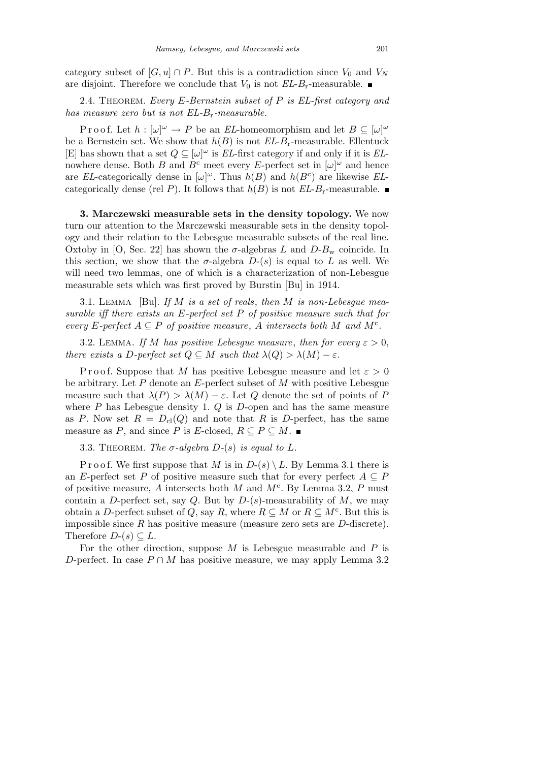category subset of  $[G, u] \cap P$ . But this is a contradiction since  $V_0$  and  $V_N$ are disjoint. Therefore we conclude that  $V_0$  is not  $EL-B_r$ -measurable.

2.4. Theorem. *Every E-Bernstein subset of P is EL-first category and has measure zero but is not EL-B*r*-measurable.*

P r o o f. Let  $h : [\omega]^\omega \to P$  be an *EL*-homeomorphism and let  $B \subseteq [\omega]^\omega$ be a Bernstein set. We show that  $h(B)$  is not  $EL-B_r$ -measurable. Ellentuck [E] has shown that a set *Q ⊆* [*ω*] *<sup>ω</sup>* is *EL*-first category if and only if it is *EL*nowhere dense. Both *B* and  $B^c$  meet every *E*-perfect set in  $[\omega]^\omega$  and hence are *EL*-categorically dense in  $[\omega]^\omega$ . Thus  $h(B)$  and  $h(B^c)$  are likewise *EL*categorically dense (rel *P*). It follows that  $h(B)$  is not  $EL-B_r$ -measurable.

**3. Marczewski measurable sets in the density topology.** We now turn our attention to the Marczewski measurable sets in the density topology and their relation to the Lebesgue measurable subsets of the real line. Oxtoby in [O, Sec. 22] has shown the  $\sigma$ -algebras *L* and  $D-B_w$  coincide. In this section, we show that the  $\sigma$ -algebra  $D-(s)$  is equal to  $L$  as well. We will need two lemmas, one of which is a characterization of non-Lebesgue measurable sets which was first proved by Burstin [Bu] in 1914.

3.1. Lemma [Bu]. *If M is a set of reals*, *then M is non-Lebesgue measurable iff there exists an E-perfect set P of positive measure such that for every E*-perfect  $A \subseteq P$  *of positive measure*, *A intersects both M and*  $M<sup>c</sup>$ *.* 

3.2. LEMMA. If *M* has positive Lebesque measure, then for every  $\varepsilon > 0$ , *there exists a D*-perfect set  $Q \subseteq M$  such that  $\lambda(Q) > \lambda(M) - \varepsilon$ .

Proof. Suppose that *M* has positive Lebesgue measure and let  $\varepsilon > 0$ be arbitrary. Let *P* denote an *E*-perfect subset of *M* with positive Lebesgue measure such that  $\lambda(P) > \lambda(M) - \varepsilon$ . Let *Q* denote the set of points of *P* where *P* has Lebesgue density 1. *Q* is *D*-open and has the same measure as *P*. Now set  $R = D_{\text{cl}}(Q)$  and note that *R* is *D*-perfect, has the same measure as *P*, and since *P* is *E*-closed,  $R \subseteq P \subseteq M$ .

3.3. THEOREM. The  $\sigma$ -algebra  $D-(s)$  is equal to  $L$ .

Proof. We first suppose that *M* is in  $D-(s) \setminus L$ . By Lemma 3.1 there is an *E*-perfect set *P* of positive measure such that for every perfect  $A \subseteq P$ of positive measure, *A* intersects both *M* and *M*<sup>c</sup> . By Lemma 3.2, *P* must contain a *D*-perfect set, say *Q*. But by  $D-(s)$ -measurability of *M*, we may obtain a *D*-perfect subset of *Q*, say *R*, where  $R \subseteq M$  or  $R \subseteq M^c$ . But this is impossible since *R* has positive measure (measure zero sets are *D*-discrete). Therefore  $D-(s) \subset L$ .

For the other direction, suppose *M* is Lebesgue measurable and *P* is *D*-perfect. In case  $P \cap M$  has positive measure, we may apply Lemma 3.2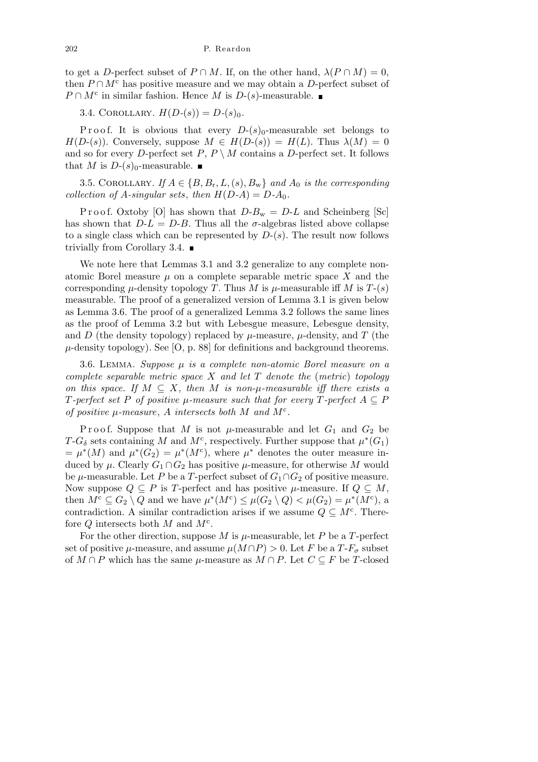to get a *D*-perfect subset of  $P \cap M$ . If, on the other hand,  $\lambda(P \cap M) = 0$ , then  $P \cap M^c$  has positive measure and we may obtain a *D*-perfect subset of  $P \cap M^c$  in similar fashion. Hence *M* is *D*-(*s*)-measurable.

3.4. COROLLARY.  $H(D-(s)) = D-(s)_{0}$ .

P r o o f. It is obvious that every  $D-(s)<sub>0</sub>$ -measurable set belongs to  $H(D-(s))$ . Conversely, suppose  $M \in H(D-(s)) = H(L)$ . Thus  $\lambda(M) = 0$ and so for every *D*-perfect set  $P, P \setminus M$  contains a *D*-perfect set. It follows that *M* is  $D-(s)_0$ -measurable.

3.5. COROLLARY. *If*  $A \in \{B, B_\text{r}, L, (s), B_\text{w}\}\$ and  $A_0$  *is the corresponding collection of*  $A$ *-singular sets, then*  $H(D-A) = D-A_0$ *.* 

Proof. Oxtoby [O] has shown that  $D-B_w = D-L$  and Scheinberg [Sc] has shown that  $D - L = D - B$ . Thus all the *σ*-algebras listed above collapse to a single class which can be represented by *D*-(*s*). The result now follows trivially from Corollary 3.4.  $\blacksquare$ 

We note here that Lemmas 3.1 and 3.2 generalize to any complete nonatomic Borel measure  $\mu$  on a complete separable metric space  $X$  and the corresponding  $\mu$ -density topology *T*. Thus *M* is  $\mu$ -measurable iff *M* is *T*-(*s*) measurable. The proof of a generalized version of Lemma 3.1 is given below as Lemma 3.6. The proof of a generalized Lemma 3.2 follows the same lines as the proof of Lemma 3.2 but with Lebesgue measure, Lebesgue density, and *D* (the density topology) replaced by  $\mu$ -measure,  $\mu$ -density, and *T* (the  $\mu$ -density topology). See [O, p. 88] for definitions and background theorems.

3.6. Lemma. *Suppose µ is a complete non-atomic Borel measure on a complete separable metric space X and let T denote the* (*metric*) *topology on this space.* If  $M \subseteq X$ , then M is non- $\mu$ -measurable iff there exists a *T*-perfect set P of positive  $\mu$ -measure such that for every  $T$ -perfect  $A \subseteq P$ *of positive*  $\mu$ -measure,  $\Lambda$  *intersects both*  $M$  *and*  $M<sup>c</sup>$ *.* 

Proof. Suppose that *M* is not  $\mu$ -measurable and let  $G_1$  and  $G_2$  be *T*-*G*<sup> $\delta$ </sup> sets containing *M* and *M*<sup>c</sup>, respectively. Further suppose that  $\mu^*(G_1)$  $= \mu^*(M)$  and  $\mu^*(G_2) = \mu^*(M^c)$ , where  $\mu^*$  denotes the outer measure induced by  $\mu$ . Clearly  $G_1 \cap G_2$  has positive  $\mu$ -measure, for otherwise M would be  $\mu$ -measurable. Let *P* be a *T*-perfect subset of  $G_1 \cap G_2$  of positive measure. Now suppose  $Q \subseteq P$  is *T*-perfect and has positive  $\mu$ -measure. If  $Q \subseteq M$ , then  $M^c \subseteq G_2 \setminus Q$  and we have  $\mu^*(M^c) \leq \mu(G_2 \setminus Q) < \mu(G_2) = \mu^*(M^c)$ , a contradiction. A similar contradiction arises if we assume  $Q \subseteq M^c$ . Therefore *Q* intersects both *M* and *M*<sup>c</sup> .

For the other direction, suppose  $M$  is  $\mu$ -measurable, let  $P$  be a  $T$ -perfect set of positive  $\mu$ -measure, and assume  $\mu(M \cap P) > 0$ . Let *F* be a *T*-*F<sub>σ</sub>* subset of *M* ∩ *P* which has the same  $\mu$ -measure as  $M \cap P$ . Let  $C \subseteq F$  be *T*-closed